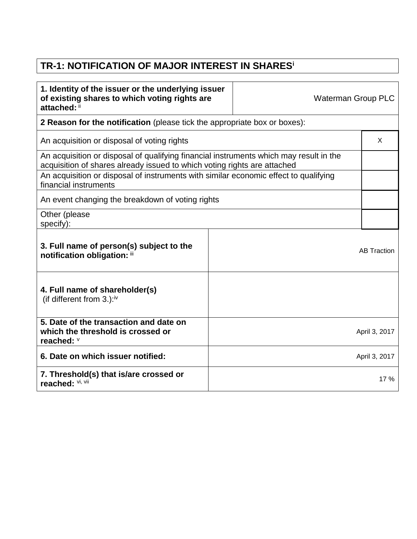## **TR-1: NOTIFICATION OF MAJOR INTEREST IN SHARES<sup>i</sup>**

| 1. Identity of the issuer or the underlying issuer<br>of existing shares to which voting rights are<br>attached: ii                                                |  | <b>Waterman Group PLC</b> |                    |
|--------------------------------------------------------------------------------------------------------------------------------------------------------------------|--|---------------------------|--------------------|
| 2 Reason for the notification (please tick the appropriate box or boxes):                                                                                          |  |                           |                    |
| An acquisition or disposal of voting rights                                                                                                                        |  | X                         |                    |
| An acquisition or disposal of qualifying financial instruments which may result in the<br>acquisition of shares already issued to which voting rights are attached |  |                           |                    |
| An acquisition or disposal of instruments with similar economic effect to qualifying<br>financial instruments                                                      |  |                           |                    |
| An event changing the breakdown of voting rights                                                                                                                   |  |                           |                    |
| Other (please<br>specify):                                                                                                                                         |  |                           |                    |
| 3. Full name of person(s) subject to the<br>notification obligation: iii                                                                                           |  |                           | <b>AB Traction</b> |
| 4. Full name of shareholder(s)<br>(if different from 3.): $iv$                                                                                                     |  |                           |                    |
| 5. Date of the transaction and date on<br>which the threshold is crossed or<br>reached: V                                                                          |  |                           | April 3, 2017      |
| 6. Date on which issuer notified:                                                                                                                                  |  |                           | April 3, 2017      |
| 7. Threshold(s) that is/are crossed or<br>reached: Vi, Vii                                                                                                         |  |                           | 17 %               |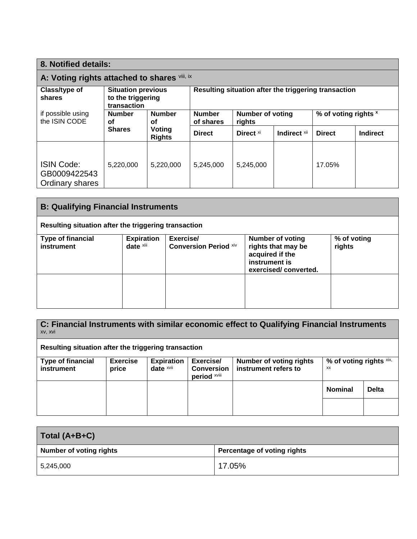| 8. Notified details:                                                             |                                                               |                            |                                   |                      |              |                                                      |          |
|----------------------------------------------------------------------------------|---------------------------------------------------------------|----------------------------|-----------------------------------|----------------------|--------------|------------------------------------------------------|----------|
| A: Voting rights attached to shares Vili, ix                                     |                                                               |                            |                                   |                      |              |                                                      |          |
| Class/type of<br>shares                                                          | <b>Situation previous</b><br>to the triggering<br>transaction |                            |                                   |                      |              | Resulting situation after the triggering transaction |          |
| if possible using<br><b>Number</b><br><b>Number</b><br>the ISIN CODE<br>οf<br>οf |                                                               | <b>Number</b><br>of shares | <b>Number of voting</b><br>rights |                      |              | % of voting rights ×                                 |          |
|                                                                                  | <b>Shares</b>                                                 | Voting<br><b>Rights</b>    | <b>Direct</b>                     | Direct <sup>xi</sup> | Indirect Xii | <b>Direct</b>                                        | Indirect |
| <b>ISIN Code:</b><br>GB0009422543<br>Ordinary shares                             | 5,220,000                                                     | 5,220,000                  | 5,245,000                         | 5,245,000            |              | 17.05%                                               |          |

| <b>B: Qualifying Financial Instruments</b>           |                                |                                           |                                                                                                           |                       |  |
|------------------------------------------------------|--------------------------------|-------------------------------------------|-----------------------------------------------------------------------------------------------------------|-----------------------|--|
| Resulting situation after the triggering transaction |                                |                                           |                                                                                                           |                       |  |
| <b>Type of financial</b><br>instrument               | <b>Expiration</b><br>date xiii | Exercise/<br><b>Conversion Period xiv</b> | <b>Number of voting</b><br>rights that may be<br>acquired if the<br>instrument is<br>exercised/converted. | % of voting<br>rights |  |
|                                                      |                                |                                           |                                                                                                           |                       |  |

**C: Financial Instruments with similar economic effect to Qualifying Financial Instruments** xv, xvi

**Resulting situation after the triggering transaction**

| <b>Type of financial</b><br>instrument | <b>Exercise</b><br>price | <b>Expiration</b><br>date $x$ <sup>vii</sup> | Exercise/<br><b>Conversion</b><br>period xviii | <b>Number of voting rights</b><br>instrument refers to | % of voting rights xix,<br>XX |              |
|----------------------------------------|--------------------------|----------------------------------------------|------------------------------------------------|--------------------------------------------------------|-------------------------------|--------------|
|                                        |                          |                                              |                                                |                                                        | <b>Nominal</b>                | <b>Delta</b> |
|                                        |                          |                                              |                                                |                                                        |                               |              |

| Total (A+B+C)                  |                             |  |  |
|--------------------------------|-----------------------------|--|--|
| <b>Number of voting rights</b> | Percentage of voting rights |  |  |
| 5,245,000                      | 17.05%                      |  |  |